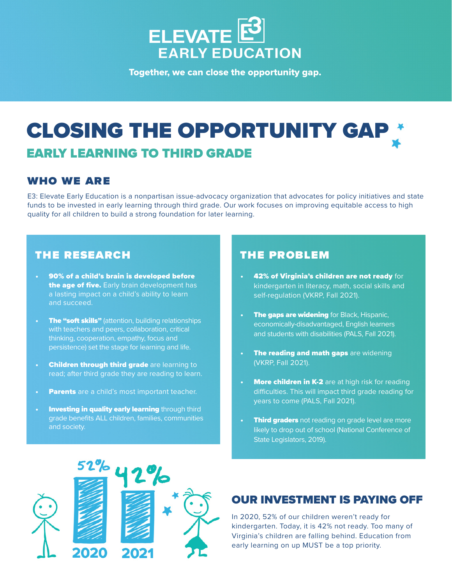

Together, we can close the opportunity gap.

## **CLOSING THE OPPORTUNITY GAI** EARLY LEARNING TO THIRD GRADE

#### who we are

E3: Elevate Early Education is a nonpartisan issue-advocacy organization that advocates for policy initiatives and state funds to be invested in early learning through third grade. Our work focuses on improving equitable access to high quality for all children to build a strong foundation for later learning.

#### the research

- 90% of a child's brain is developed before the age of five. Early brain development has a lasting impact on a child's ability to learn and succeed.
- **The "soft skills"** (attention, building relationships with teachers and peers, collaboration, critical thinking, cooperation, empathy, focus and persistence) set the stage for learning and life.
- **Children through third grade are learning to** read; after third grade they are reading to learn.
- Parents are a child's most important teacher.
- **Investing in quality early learning through third** grade benefits ALL children, families, communities and society.

#### the problem

- 42% of Virginia's children are not ready for kindergarten in literacy, math, social skills and self-regulation (VKRP, Fall 2021).
- **The gaps are widening** for Black, Hispanic, economically-disadvantaged, English learners and students with disabilities (PALS, Fall 2021).
- The reading and math gaps are widening (VKRP, Fall 2021).
- **More children in K-2** are at high risk for reading difficulties. This will impact third grade reading for years to come (PALS, Fall 2021).
- **Third graders** not reading on grade level are more likely to drop out of school (National Conference of State Legislators, 2019).



#### OUR INVESTMENT IS PAYING OFF

In 2020, 52% of our children weren't ready for kindergarten. Today, it is 42% not ready. Too many of Virginia's children are falling behind. Education from early learning on up MUST be a top priority.